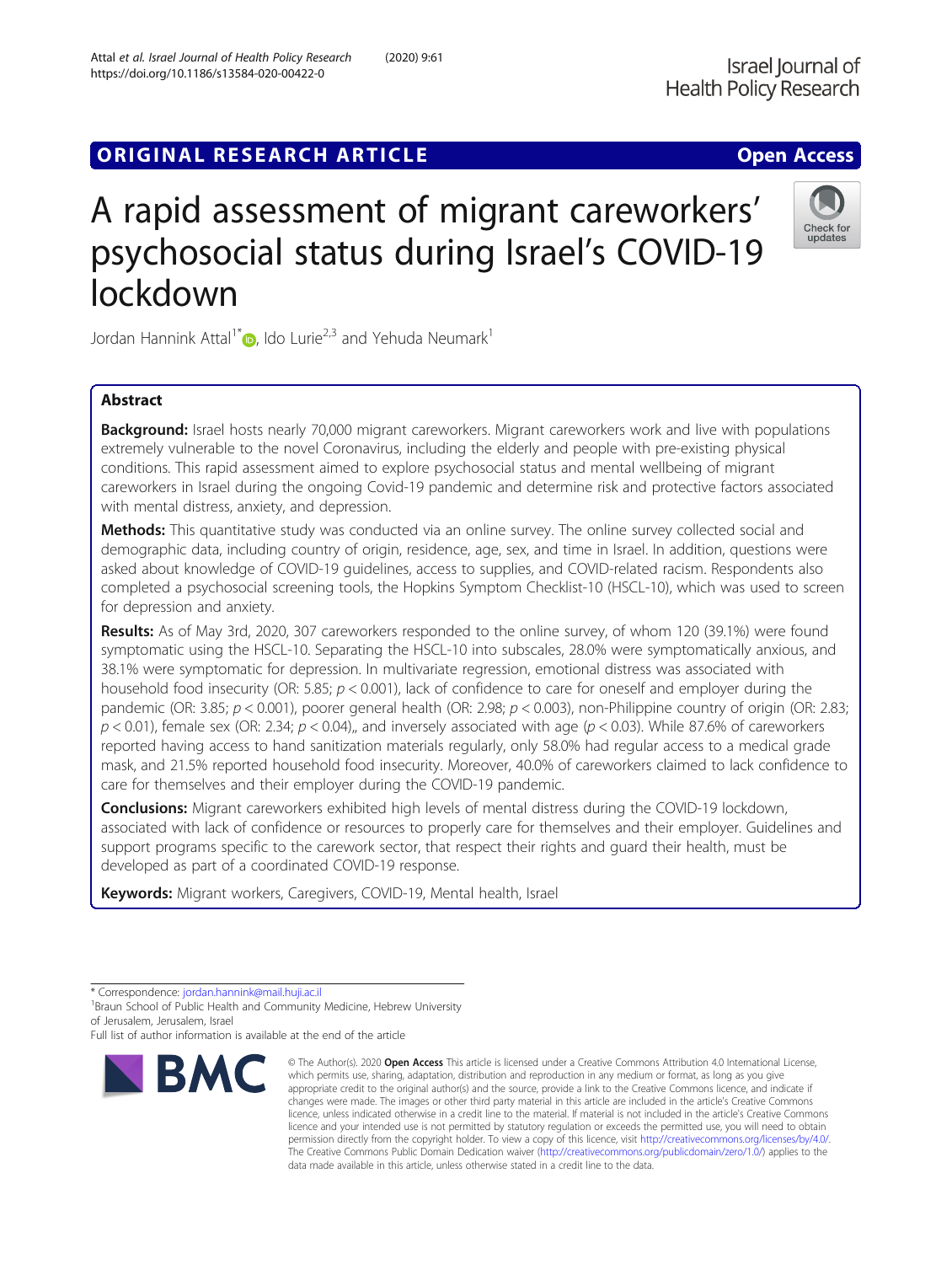# **ORIGINAL RESEARCH ARTICLE CONSUMING ACCESS**

# A rapid assessment of migrant careworkers' psychosocial status during Israel's COVID-19 lockdown

Jordan Hannink Attal<sup>1[\\*](http://orcid.org/0000-0003-0139-7137)</sup> , Ido Lurie<sup>2,3</sup> and Yehuda Neumark<sup>1</sup>

# Abstract

**Background:** Israel hosts nearly 70,000 migrant careworkers. Migrant careworkers work and live with populations extremely vulnerable to the novel Coronavirus, including the elderly and people with pre-existing physical conditions. This rapid assessment aimed to explore psychosocial status and mental wellbeing of migrant careworkers in Israel during the ongoing Covid-19 pandemic and determine risk and protective factors associated with mental distress, anxiety, and depression.

Methods: This quantitative study was conducted via an online survey. The online survey collected social and demographic data, including country of origin, residence, age, sex, and time in Israel. In addition, questions were asked about knowledge of COVID-19 guidelines, access to supplies, and COVID-related racism. Respondents also completed a psychosocial screening tools, the Hopkins Symptom Checklist-10 (HSCL-10), which was used to screen for depression and anxiety.

Results: As of May 3rd, 2020, 307 careworkers responded to the online survey, of whom 120 (39.1%) were found symptomatic using the HSCL-10. Separating the HSCL-10 into subscales, 28.0% were symptomatically anxious, and 38.1% were symptomatic for depression. In multivariate regression, emotional distress was associated with household food insecurity (OR: 5.85; p < 0.001), lack of confidence to care for oneself and employer during the pandemic (OR: 3.85;  $p < 0.001$ ), poorer general health (OR: 2.98;  $p < 0.003$ ), non-Philippine country of origin (OR: 2.83;  $p < 0.01$ ), female sex (OR: 2.34;  $p < 0.04$ ),, and inversely associated with age ( $p < 0.03$ ). While 87.6% of careworkers reported having access to hand sanitization materials regularly, only 58.0% had regular access to a medical grade mask, and 21.5% reported household food insecurity. Moreover, 40.0% of careworkers claimed to lack confidence to care for themselves and their employer during the COVID-19 pandemic.

**Conclusions:** Migrant careworkers exhibited high levels of mental distress during the COVID-19 lockdown, associated with lack of confidence or resources to properly care for themselves and their employer. Guidelines and support programs specific to the carework sector, that respect their rights and guard their health, must be developed as part of a coordinated COVID-19 response.

Keywords: Migrant workers, Caregivers, COVID-19, Mental health, Israel

**BMC** 



© The Author(s), 2020 **Open Access** This article is licensed under a Creative Commons Attribution 4.0 International License, which permits use, sharing, adaptation, distribution and reproduction in any medium or format, as long as you give





<sup>\*</sup> Correspondence: [jordan.hannink@mail.huji.ac.il](mailto:jordan.hannink@mail.huji.ac.il) <sup>1</sup>

<sup>&</sup>lt;sup>1</sup> Braun School of Public Health and Community Medicine, Hebrew University of Jerusalem, Jerusalem, Israel

Full list of author information is available at the end of the article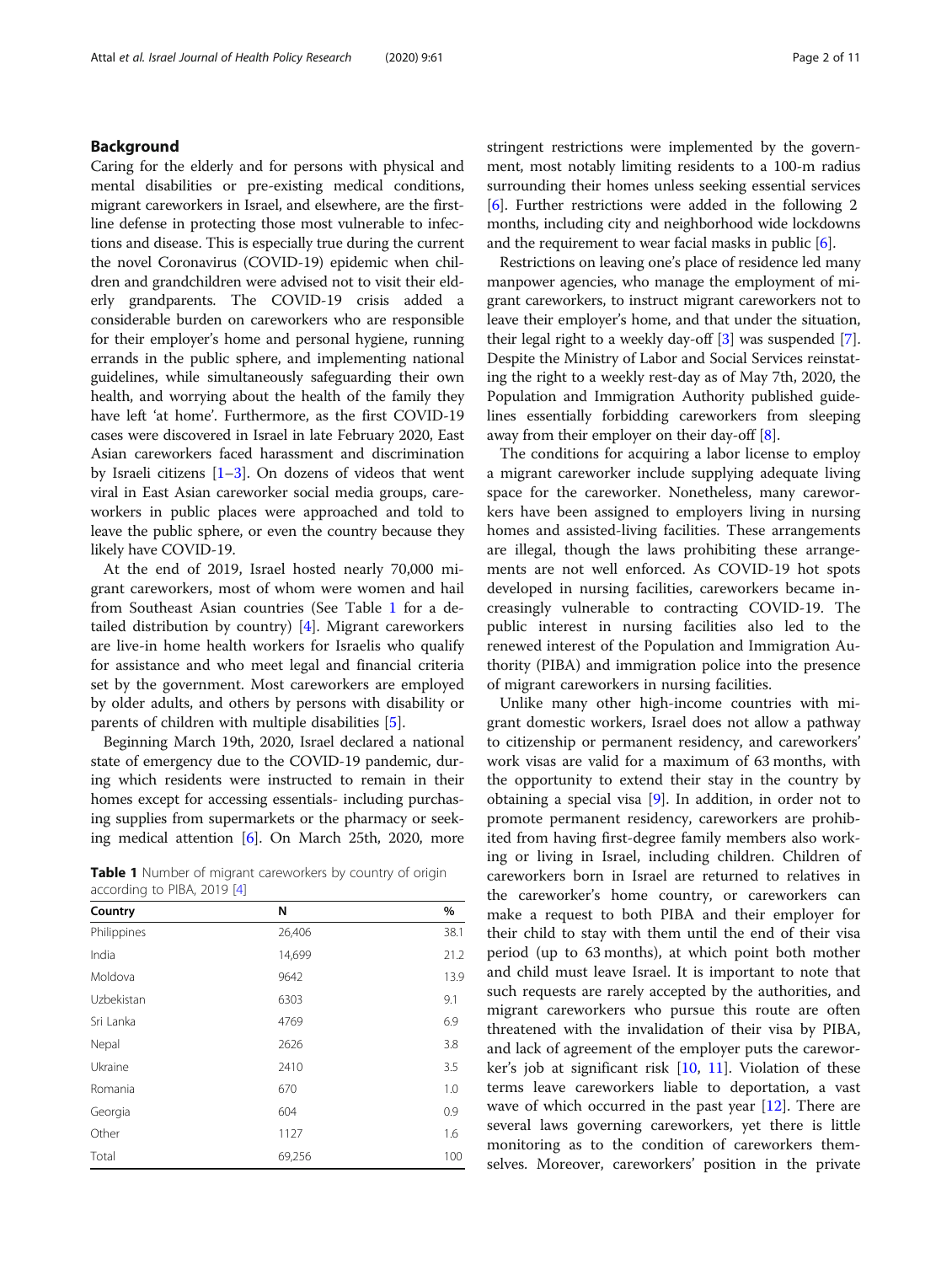# Background

Caring for the elderly and for persons with physical and mental disabilities or pre-existing medical conditions, migrant careworkers in Israel, and elsewhere, are the firstline defense in protecting those most vulnerable to infections and disease. This is especially true during the current the novel Coronavirus (COVID-19) epidemic when children and grandchildren were advised not to visit their elderly grandparents. The COVID-19 crisis added a considerable burden on careworkers who are responsible for their employer's home and personal hygiene, running errands in the public sphere, and implementing national guidelines, while simultaneously safeguarding their own health, and worrying about the health of the family they have left 'at home'. Furthermore, as the first COVID-19 cases were discovered in Israel in late February 2020, East Asian careworkers faced harassment and discrimination by Israeli citizens  $[1-3]$  $[1-3]$  $[1-3]$  $[1-3]$  $[1-3]$ . On dozens of videos that went viral in East Asian careworker social media groups, careworkers in public places were approached and told to leave the public sphere, or even the country because they likely have COVID-19.

At the end of 2019, Israel hosted nearly 70,000 migrant careworkers, most of whom were women and hail from Southeast Asian countries (See Table 1 for a detailed distribution by country) [[4\]](#page-9-0). Migrant careworkers are live-in home health workers for Israelis who qualify for assistance and who meet legal and financial criteria set by the government. Most careworkers are employed by older adults, and others by persons with disability or parents of children with multiple disabilities [[5](#page-9-0)].

Beginning March 19th, 2020, Israel declared a national state of emergency due to the COVID-19 pandemic, during which residents were instructed to remain in their homes except for accessing essentials- including purchasing supplies from supermarkets or the pharmacy or seeking medical attention [\[6\]](#page-9-0). On March 25th, 2020, more

Table 1 Number of migrant careworkers by country of origin according to PIBA, 2019 [[4](#page-9-0)]

| Country     | N      | %    |
|-------------|--------|------|
| Philippines | 26,406 | 38.1 |
| India       | 14,699 | 21.2 |
| Moldova     | 9642   | 13.9 |
| Uzbekistan  | 6303   | 9.1  |
| Sri Lanka   | 4769   | 6.9  |
| Nepal       | 2626   | 3.8  |
| Ukraine     | 2410   | 3.5  |
| Romania     | 670    | 1.0  |
| Georgia     | 604    | 0.9  |
| Other       | 1127   | 1.6  |
| Total       | 69,256 | 100  |

stringent restrictions were implemented by the government, most notably limiting residents to a 100-m radius surrounding their homes unless seeking essential services [[6\]](#page-9-0). Further restrictions were added in the following 2 months, including city and neighborhood wide lockdowns and the requirement to wear facial masks in public [\[6\]](#page-9-0).

Restrictions on leaving one's place of residence led many manpower agencies, who manage the employment of migrant careworkers, to instruct migrant careworkers not to leave their employer's home, and that under the situation, their legal right to a weekly day-off [[3\]](#page-9-0) was suspended [[7](#page-9-0)]. Despite the Ministry of Labor and Social Services reinstating the right to a weekly rest-day as of May 7th, 2020, the Population and Immigration Authority published guidelines essentially forbidding careworkers from sleeping away from their employer on their day-off [\[8](#page-9-0)].

The conditions for acquiring a labor license to employ a migrant careworker include supplying adequate living space for the careworker. Nonetheless, many careworkers have been assigned to employers living in nursing homes and assisted-living facilities. These arrangements are illegal, though the laws prohibiting these arrangements are not well enforced. As COVID-19 hot spots developed in nursing facilities, careworkers became increasingly vulnerable to contracting COVID-19. The public interest in nursing facilities also led to the renewed interest of the Population and Immigration Authority (PIBA) and immigration police into the presence of migrant careworkers in nursing facilities.

Unlike many other high-income countries with migrant domestic workers, Israel does not allow a pathway to citizenship or permanent residency, and careworkers' work visas are valid for a maximum of 63 months, with the opportunity to extend their stay in the country by obtaining a special visa [[9\]](#page-9-0). In addition, in order not to promote permanent residency, careworkers are prohibited from having first-degree family members also working or living in Israel, including children. Children of careworkers born in Israel are returned to relatives in the careworker's home country, or careworkers can make a request to both PIBA and their employer for their child to stay with them until the end of their visa period (up to 63 months), at which point both mother and child must leave Israel. It is important to note that such requests are rarely accepted by the authorities, and migrant careworkers who pursue this route are often threatened with the invalidation of their visa by PIBA, and lack of agreement of the employer puts the careworker's job at significant risk [[10](#page-9-0), [11\]](#page-9-0). Violation of these terms leave careworkers liable to deportation, a vast wave of which occurred in the past year [[12](#page-9-0)]. There are several laws governing careworkers, yet there is little monitoring as to the condition of careworkers themselves. Moreover, careworkers' position in the private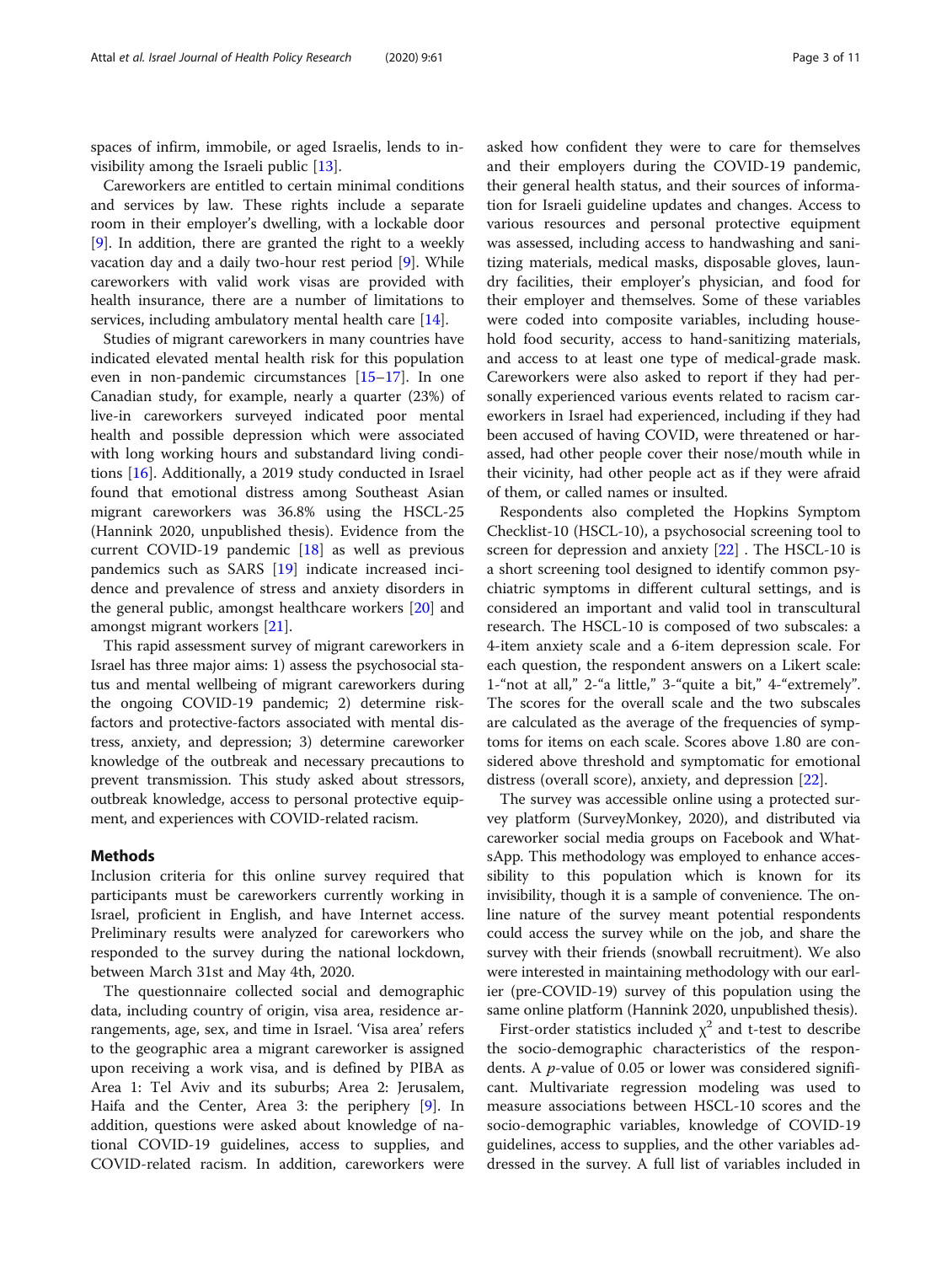spaces of infirm, immobile, or aged Israelis, lends to invisibility among the Israeli public [[13\]](#page-9-0).

Careworkers are entitled to certain minimal conditions and services by law. These rights include a separate room in their employer's dwelling, with a lockable door [[9\]](#page-9-0). In addition, there are granted the right to a weekly vacation day and a daily two-hour rest period [\[9](#page-9-0)]. While careworkers with valid work visas are provided with health insurance, there are a number of limitations to services, including ambulatory mental health care [[14\]](#page-9-0).

Studies of migrant careworkers in many countries have indicated elevated mental health risk for this population even in non-pandemic circumstances [\[15](#page-9-0)–[17\]](#page-9-0). In one Canadian study, for example, nearly a quarter (23%) of live-in careworkers surveyed indicated poor mental health and possible depression which were associated with long working hours and substandard living conditions [[16\]](#page-9-0). Additionally, a 2019 study conducted in Israel found that emotional distress among Southeast Asian migrant careworkers was 36.8% using the HSCL-25 (Hannink 2020, unpublished thesis). Evidence from the current COVID-19 pandemic [[18\]](#page-9-0) as well as previous pandemics such as SARS [[19](#page-9-0)] indicate increased incidence and prevalence of stress and anxiety disorders in the general public, amongst healthcare workers [\[20\]](#page-9-0) and amongst migrant workers [[21\]](#page-9-0).

This rapid assessment survey of migrant careworkers in Israel has three major aims: 1) assess the psychosocial status and mental wellbeing of migrant careworkers during the ongoing COVID-19 pandemic; 2) determine riskfactors and protective-factors associated with mental distress, anxiety, and depression; 3) determine careworker knowledge of the outbreak and necessary precautions to prevent transmission. This study asked about stressors, outbreak knowledge, access to personal protective equipment, and experiences with COVID-related racism.

# Methods

Inclusion criteria for this online survey required that participants must be careworkers currently working in Israel, proficient in English, and have Internet access. Preliminary results were analyzed for careworkers who responded to the survey during the national lockdown, between March 31st and May 4th, 2020.

The questionnaire collected social and demographic data, including country of origin, visa area, residence arrangements, age, sex, and time in Israel. 'Visa area' refers to the geographic area a migrant careworker is assigned upon receiving a work visa, and is defined by PIBA as Area 1: Tel Aviv and its suburbs; Area 2: Jerusalem, Haifa and the Center, Area 3: the periphery [[9\]](#page-9-0). In addition, questions were asked about knowledge of national COVID-19 guidelines, access to supplies, and COVID-related racism. In addition, careworkers were asked how confident they were to care for themselves and their employers during the COVID-19 pandemic, their general health status, and their sources of information for Israeli guideline updates and changes. Access to various resources and personal protective equipment was assessed, including access to handwashing and sanitizing materials, medical masks, disposable gloves, laundry facilities, their employer's physician, and food for their employer and themselves. Some of these variables were coded into composite variables, including household food security, access to hand-sanitizing materials, and access to at least one type of medical-grade mask. Careworkers were also asked to report if they had personally experienced various events related to racism careworkers in Israel had experienced, including if they had been accused of having COVID, were threatened or harassed, had other people cover their nose/mouth while in their vicinity, had other people act as if they were afraid of them, or called names or insulted.

Respondents also completed the Hopkins Symptom Checklist-10 (HSCL-10), a psychosocial screening tool to screen for depression and anxiety  $[22]$  $[22]$  $[22]$ . The HSCL-10 is a short screening tool designed to identify common psychiatric symptoms in different cultural settings, and is considered an important and valid tool in transcultural research. The HSCL-10 is composed of two subscales: a 4-item anxiety scale and a 6-item depression scale. For each question, the respondent answers on a Likert scale: 1-"not at all," 2-"a little," 3-"quite a bit," 4-"extremely". The scores for the overall scale and the two subscales are calculated as the average of the frequencies of symptoms for items on each scale. Scores above 1.80 are considered above threshold and symptomatic for emotional distress (overall score), anxiety, and depression [[22\]](#page-9-0).

The survey was accessible online using a protected survey platform (SurveyMonkey, 2020), and distributed via careworker social media groups on Facebook and WhatsApp. This methodology was employed to enhance accessibility to this population which is known for its invisibility, though it is a sample of convenience. The online nature of the survey meant potential respondents could access the survey while on the job, and share the survey with their friends (snowball recruitment). We also were interested in maintaining methodology with our earlier (pre-COVID-19) survey of this population using the same online platform (Hannink 2020, unpublished thesis).

First-order statistics included  $\chi^2$  and t-test to describe the socio-demographic characteristics of the respondents. A p-value of 0.05 or lower was considered significant. Multivariate regression modeling was used to measure associations between HSCL-10 scores and the socio-demographic variables, knowledge of COVID-19 guidelines, access to supplies, and the other variables addressed in the survey. A full list of variables included in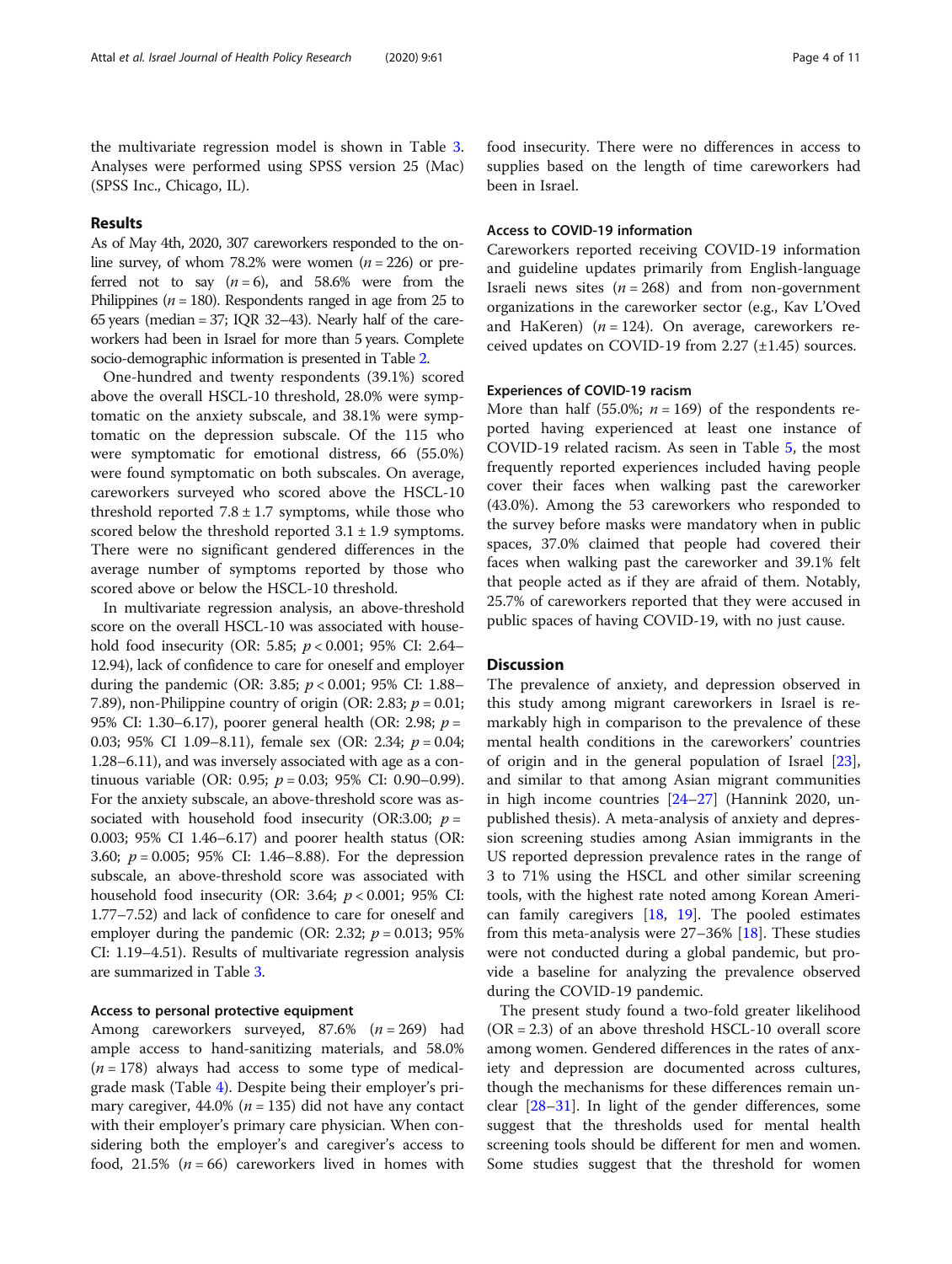the multivariate regression model is shown in Table [3](#page-5-0). Analyses were performed using SPSS version 25 (Mac) (SPSS Inc., Chicago, IL).

# Results

As of May 4th, 2020, 307 careworkers responded to the online survey, of whom 78.2% were women  $(n = 226)$  or preferred not to say  $(n = 6)$ , and 58.6% were from the Philippines ( $n = 180$ ). Respondents ranged in age from 25 to 65 years (median = 37; IQR 32–43). Nearly half of the careworkers had been in Israel for more than 5 years. Complete socio-demographic information is presented in Table [2](#page-4-0).

One-hundred and twenty respondents (39.1%) scored above the overall HSCL-10 threshold, 28.0% were symptomatic on the anxiety subscale, and 38.1% were symptomatic on the depression subscale. Of the 115 who were symptomatic for emotional distress, 66 (55.0%) were found symptomatic on both subscales. On average, careworkers surveyed who scored above the HSCL-10 threshold reported  $7.8 \pm 1.7$  symptoms, while those who scored below the threshold reported  $3.1 \pm 1.9$  symptoms. There were no significant gendered differences in the average number of symptoms reported by those who scored above or below the HSCL-10 threshold.

In multivariate regression analysis, an above-threshold score on the overall HSCL-10 was associated with household food insecurity (OR: 5.85; p < 0.001; 95% CI: 2.64– 12.94), lack of confidence to care for oneself and employer during the pandemic (OR: 3.85;  $p < 0.001$ ; 95% CI: 1.88– 7.89), non-Philippine country of origin (OR: 2.83;  $p = 0.01$ ; 95% CI: 1.30–6.17), poorer general health (OR: 2.98;  $p =$ 0.03; 95% CI 1.09–8.11), female sex (OR: 2.34;  $p = 0.04$ ; 1.28–6.11), and was inversely associated with age as a continuous variable (OR: 0.95;  $p = 0.03$ ; 95% CI: 0.90–0.99). For the anxiety subscale, an above-threshold score was associated with household food insecurity (OR:3.00;  $p =$ 0.003; 95% CI 1.46–6.17) and poorer health status (OR: 3.60;  $p = 0.005$ ; 95% CI: 1.46–8.88). For the depression subscale, an above-threshold score was associated with household food insecurity (OR: 3.64;  $p < 0.001$ ; 95% CI: 1.77–7.52) and lack of confidence to care for oneself and employer during the pandemic (OR: 2.32;  $p = 0.013$ ; 95% CI: 1.19–4.51). Results of multivariate regression analysis are summarized in Table [3.](#page-5-0)

# Access to personal protective equipment

Among careworkers surveyed,  $87.6\%$  ( $n = 269$ ) had ample access to hand-sanitizing materials, and 58.0%  $(n = 178)$  always had access to some type of medicalgrade mask (Table [4](#page-6-0)). Despite being their employer's primary caregiver, 44.0% ( $n = 135$ ) did not have any contact with their employer's primary care physician. When considering both the employer's and caregiver's access to food, 21.5% ( $n = 66$ ) careworkers lived in homes with food insecurity. There were no differences in access to supplies based on the length of time careworkers had been in Israel.

## Access to COVID-19 information

Careworkers reported receiving COVID-19 information and guideline updates primarily from English-language Israeli news sites  $(n = 268)$  and from non-government organizations in the careworker sector (e.g., Kav L'Oved and HaKeren)  $(n = 124)$ . On average, careworkers received updates on COVID-19 from 2.27 (±1.45) sources.

## Experiences of COVID-19 racism

More than half (55.0%;  $n = 169$ ) of the respondents reported having experienced at least one instance of COVID-19 related racism. As seen in Table [5](#page-7-0), the most frequently reported experiences included having people cover their faces when walking past the careworker (43.0%). Among the 53 careworkers who responded to the survey before masks were mandatory when in public spaces, 37.0% claimed that people had covered their faces when walking past the careworker and 39.1% felt that people acted as if they are afraid of them. Notably, 25.7% of careworkers reported that they were accused in public spaces of having COVID-19, with no just cause.

# **Discussion**

The prevalence of anxiety, and depression observed in this study among migrant careworkers in Israel is remarkably high in comparison to the prevalence of these mental health conditions in the careworkers' countries of origin and in the general population of Israel [\[23](#page-9-0)], and similar to that among Asian migrant communities in high income countries [[24](#page-9-0)–[27](#page-9-0)] (Hannink 2020, unpublished thesis). A meta-analysis of anxiety and depression screening studies among Asian immigrants in the US reported depression prevalence rates in the range of 3 to 71% using the HSCL and other similar screening tools, with the highest rate noted among Korean American family caregivers [[18](#page-9-0), [19](#page-9-0)]. The pooled estimates from this meta-analysis were 27–36% [[18](#page-9-0)]. These studies were not conducted during a global pandemic, but provide a baseline for analyzing the prevalence observed during the COVID-19 pandemic.

The present study found a two-fold greater likelihood (OR = 2.3) of an above threshold HSCL-10 overall score among women. Gendered differences in the rates of anxiety and depression are documented across cultures, though the mechanisms for these differences remain unclear [[28](#page-9-0)–[31\]](#page-9-0). In light of the gender differences, some suggest that the thresholds used for mental health screening tools should be different for men and women. Some studies suggest that the threshold for women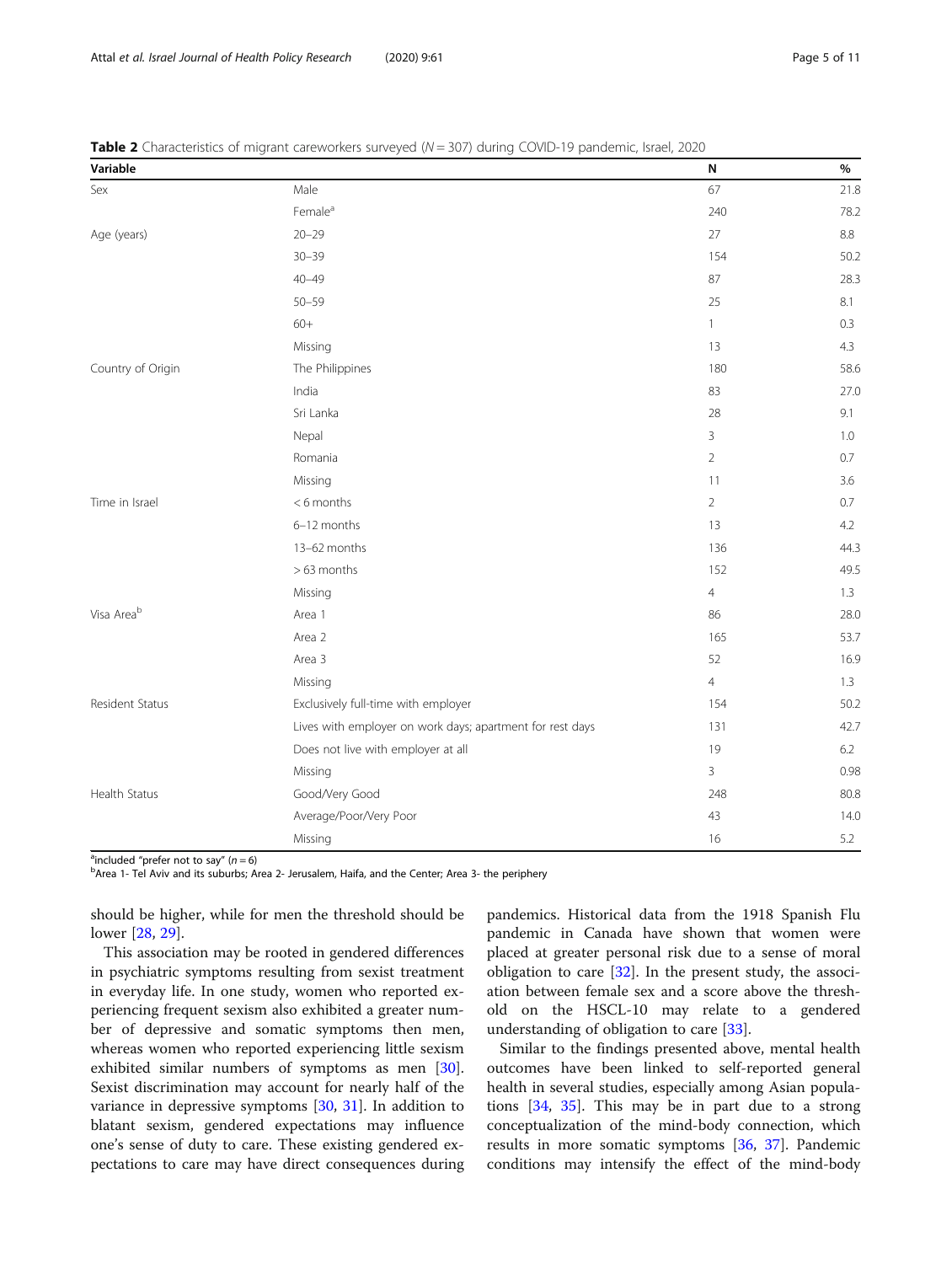<sup>a</sup>included "prefer not to say" ( $n = 6$ )<br> $h_{Area}$  1. Tel Aviv and its suburbs: A

<sup>b</sup>Area 1- Tel Aviv and its suburbs; Area 2- Jerusalem, Haifa, and the Center; Area 3- the periphery

should be higher, while for men the threshold should be lower [\[28](#page-9-0), [29](#page-9-0)].

This association may be rooted in gendered differences in psychiatric symptoms resulting from sexist treatment in everyday life. In one study, women who reported experiencing frequent sexism also exhibited a greater number of depressive and somatic symptoms then men, whereas women who reported experiencing little sexism exhibited similar numbers of symptoms as men [\[30](#page-9-0)]. Sexist discrimination may account for nearly half of the variance in depressive symptoms [\[30,](#page-9-0) [31](#page-9-0)]. In addition to blatant sexism, gendered expectations may influence one's sense of duty to care. These existing gendered expectations to care may have direct consequences during

pandemics. Historical data from the 1918 Spanish Flu pandemic in Canada have shown that women were placed at greater personal risk due to a sense of moral obligation to care  $[32]$  $[32]$ . In the present study, the association between female sex and a score above the threshold on the HSCL-10 may relate to a gendered understanding of obligation to care [\[33\]](#page-9-0).

Similar to the findings presented above, mental health outcomes have been linked to self-reported general health in several studies, especially among Asian populations [\[34](#page-9-0), [35\]](#page-9-0). This may be in part due to a strong conceptualization of the mind-body connection, which results in more somatic symptoms [[36](#page-9-0), [37](#page-9-0)]. Pandemic conditions may intensify the effect of the mind-body

<span id="page-4-0"></span>**Table 2** Characteristics of migrant careworkers surveyed ( $N = 307$ ) during COVID-19 pandemic, Israel, 2020 variable the contract of the contract of the contract of the contract of the contract of the contract of the contract of the contract of the contract of the contract of the contract of the contract of the contract of the c

| Variable          |                                                           | N              | %    |
|-------------------|-----------------------------------------------------------|----------------|------|
| Sex               | Male                                                      | 67             | 21.8 |
|                   | Female <sup>a</sup>                                       | 240            | 78.2 |
| Age (years)       | $20 - 29$                                                 | 27             | 8.8  |
|                   | $30 - 39$                                                 | 154            | 50.2 |
|                   | $40 - 49$                                                 | 87             | 28.3 |
|                   | $50 - 59$                                                 | 25             | 8.1  |
|                   | $60+$                                                     | $\mathbf{1}$   | 0.3  |
|                   | Missing                                                   | 13             | 4.3  |
| Country of Origin | The Philippines                                           | 180            | 58.6 |
|                   | India                                                     | 83             | 27.0 |
|                   | Sri Lanka                                                 | 28             | 9.1  |
|                   | Nepal                                                     | $\mathbf{3}$   | 1.0  |
|                   | Romania                                                   | $\overline{2}$ | 0.7  |
|                   | Missing                                                   | 11             | 3.6  |
| Time in Israel    | <6 months                                                 | $\overline{2}$ | 0.7  |
|                   | 6-12 months                                               | 13             | 4.2  |
|                   | 13-62 months                                              | 136            | 44.3 |
|                   | > 63 months                                               | 152            | 49.5 |
|                   | Missing                                                   | $\overline{4}$ | 1.3  |
| Visa Areab        | Area 1                                                    | 86             | 28.0 |
|                   | Area 2                                                    | 165            | 53.7 |
|                   | Area 3                                                    | 52             | 16.9 |
|                   | Missing                                                   | $\overline{4}$ | 1.3  |
| Resident Status   | Exclusively full-time with employer                       | 154            | 50.2 |
|                   | Lives with employer on work days; apartment for rest days | 131            | 42.7 |
|                   | Does not live with employer at all                        | 19             | 6.2  |
|                   | Missing                                                   | 3              | 0.98 |
| Health Status     | Good/Very Good                                            | 248            | 80.8 |
|                   | Average/Poor/Very Poor                                    | 43             | 14.0 |
|                   | Missing                                                   | 16             | 5.2  |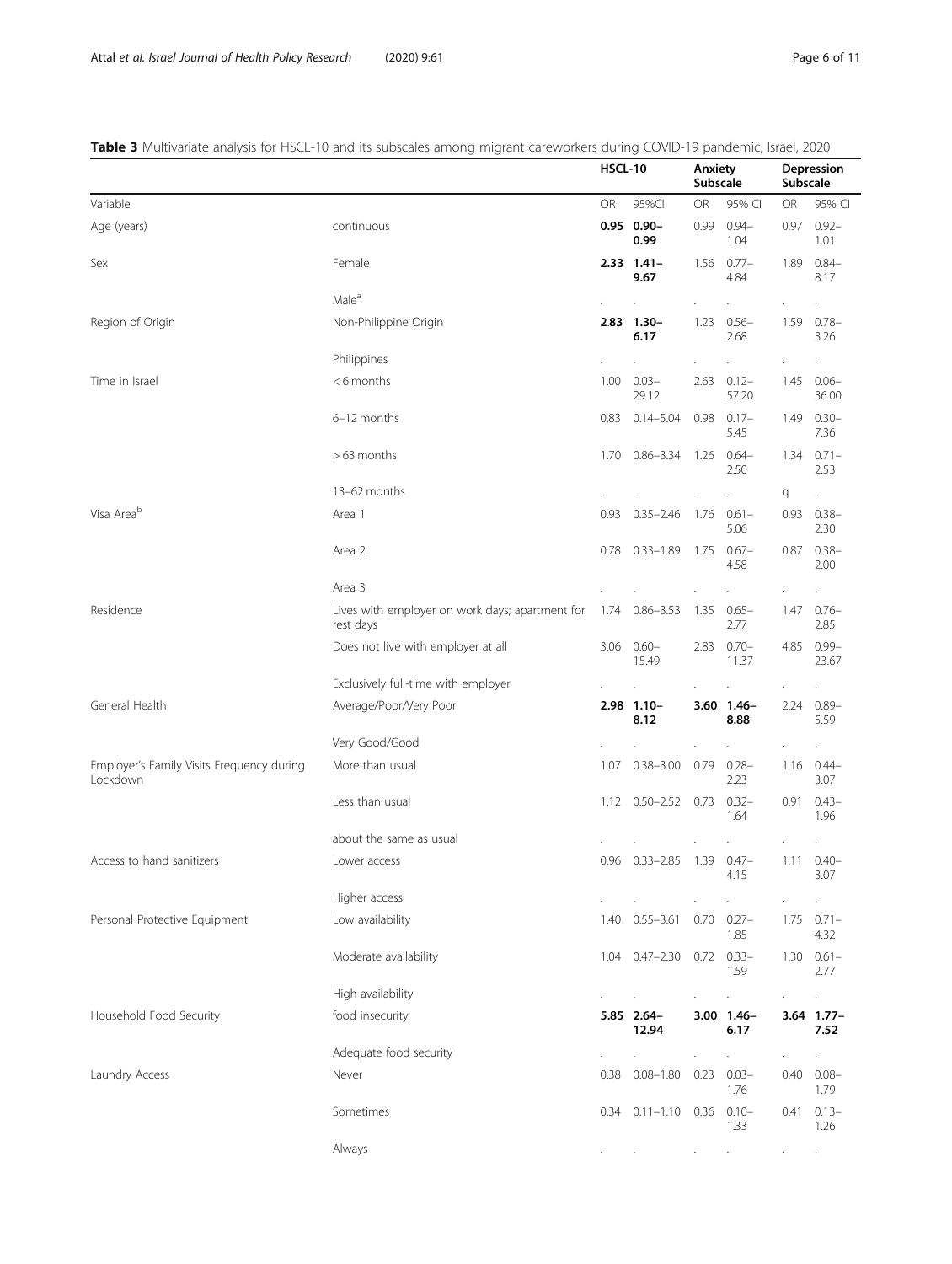# <span id="page-5-0"></span>Table 3 Multivariate analysis for HSCL-10 and its subscales among migrant careworkers during COVID-19 pandemic, Israel, 2020

|                                                       |                                                              | HSCL-10   |                         | Anxiety<br>Subscale |                        | Subscale             | Depression                  |
|-------------------------------------------------------|--------------------------------------------------------------|-----------|-------------------------|---------------------|------------------------|----------------------|-----------------------------|
| Variable                                              |                                                              | <b>OR</b> | 95%CI                   | OR.                 | 95% CI                 | <b>OR</b>            | 95% CI                      |
| Age (years)                                           | continuous                                                   |           | $0.95$ $0.90 -$<br>0.99 | 0.99                | $0.94 -$<br>1.04       | 0.97                 | $0.92 -$<br>1.01            |
| Sex                                                   | Female                                                       |           | $2.33$ $1.41-$<br>9.67  | 1.56                | $0.77 -$<br>4.84       | 1.89                 | $0.84 -$<br>8.17            |
|                                                       | Male <sup>a</sup>                                            |           |                         |                     |                        |                      | $\ddot{\phantom{a}}$        |
| Region of Origin                                      | Non-Philippine Origin                                        | 2.83      | $1.30 -$<br>6.17        | 1.23                | $0.56 -$<br>2.68       | 1.59                 | $0.78 -$<br>3.26            |
|                                                       | Philippines                                                  |           |                         |                     |                        |                      |                             |
| Time in Israel                                        | $< 6$ months                                                 | 1.00      | $0.03 -$<br>29.12       | 2.63                | $0.12 -$<br>57.20      | 1.45                 | $0.06 -$<br>36.00           |
|                                                       | 6-12 months                                                  | 0.83      | $0.14 - 5.04$           | 0.98                | $0.17 -$<br>5.45       | 1.49                 | $0.30 -$<br>7.36            |
|                                                       | $>63$ months                                                 | 1.70      | $0.86 - 3.34$           | 1.26                | $0.64 -$<br>2.50       | 1.34                 | $0.71 -$<br>2.53            |
|                                                       | 13-62 months                                                 |           |                         |                     |                        | q                    | $\ddot{\phantom{a}}$        |
| Visa Areab                                            | Area 1                                                       | 0.93      | $0.35 - 2.46$           | 1.76                | $0.61 -$<br>5.06       | 0.93                 | $0.38 -$<br>2.30            |
|                                                       | Area 2                                                       | 0.78      | $0.33 - 1.89$           | 1.75                | $0.67 -$<br>4.58       | 0.87                 | $0.38 -$<br>2.00            |
|                                                       | Area 3                                                       |           |                         |                     |                        |                      |                             |
| Residence                                             | Lives with employer on work days; apartment for<br>rest days | 1.74      | $0.86 - 3.53$           | 1.35                | $0.65 -$<br>2.77       |                      | $1.47$ 0.76-<br>2.85        |
|                                                       | Does not live with employer at all                           | 3.06      | $0.60 -$<br>15.49       | 2.83                | $0.70 -$<br>11.37      | 4.85                 | $0.99 -$<br>23.67           |
|                                                       | Exclusively full-time with employer                          |           |                         |                     |                        |                      | $\ddot{\phantom{a}}$        |
| General Health                                        | Average/Poor/Very Poor                                       |           | $2.98$ 1.10-<br>8.12    |                     | $3.60$ $1.46-$<br>8.88 | 2.24                 | $0.89 -$<br>5.59            |
|                                                       | Very Good/Good                                               |           |                         |                     |                        |                      | $\cdot$                     |
| Employer's Family Visits Frequency during<br>Lockdown | More than usual                                              | 1.07      | $0.38 - 3.00$           | 0.79                | $0.28 -$<br>2.23       |                      | $1.16$ 0.44-<br>3.07        |
|                                                       | Less than usual                                              | 1.12      | $0.50 - 2.52$           | 0.73                | $0.32 -$<br>1.64       |                      | $0.91$ $0.43-$<br>1.96      |
|                                                       | about the same as usual                                      |           |                         |                     |                        |                      |                             |
| Access to hand sanitizers                             | Lower access                                                 |           | $0.96$ $0.33 - 2.85$    |                     | $1.39$ $0.47-$<br>4.15 |                      | $1.11 \quad 0.40 -$<br>3.07 |
|                                                       | Higher access                                                |           |                         |                     |                        |                      | $\cdot$                     |
| Personal Protective Equipment                         | Low availability                                             |           | 1.40 0.55-3.61          | 0.70                | $0.27 -$<br>1.85       | 1.75                 | $0.71 -$<br>4.32            |
|                                                       | Moderate availability                                        |           | 1.04 0.47-2.30          | 0.72                | $0.33 -$<br>1.59       | 1.30                 | $0.61 -$<br>2.77            |
|                                                       | High availability                                            |           |                         | $\cdot$             | $\blacksquare$         | $\ddot{\phantom{0}}$ | $\sim$                      |
| Household Food Security                               | food insecurity                                              |           | 5.85 2.64-<br>12.94     |                     | $3.00$ $1.46-$<br>6.17 |                      | $3.64$ 1.77-<br>7.52        |
|                                                       | Adequate food security                                       |           |                         |                     |                        |                      | $\ddot{\phantom{0}}$        |
| Laundry Access                                        | Never                                                        | 0.38      | $0.08 - 1.80$           | 0.23                | $0.03 -$<br>1.76       | 0.40                 | $0.08 -$<br>1.79            |
|                                                       | Sometimes                                                    | 0.34      | $0.11 - 1.10$           | 0.36                | $0.10 -$<br>1.33       | 0.41                 | $0.13 -$<br>1.26            |
|                                                       | Always                                                       |           |                         |                     |                        |                      |                             |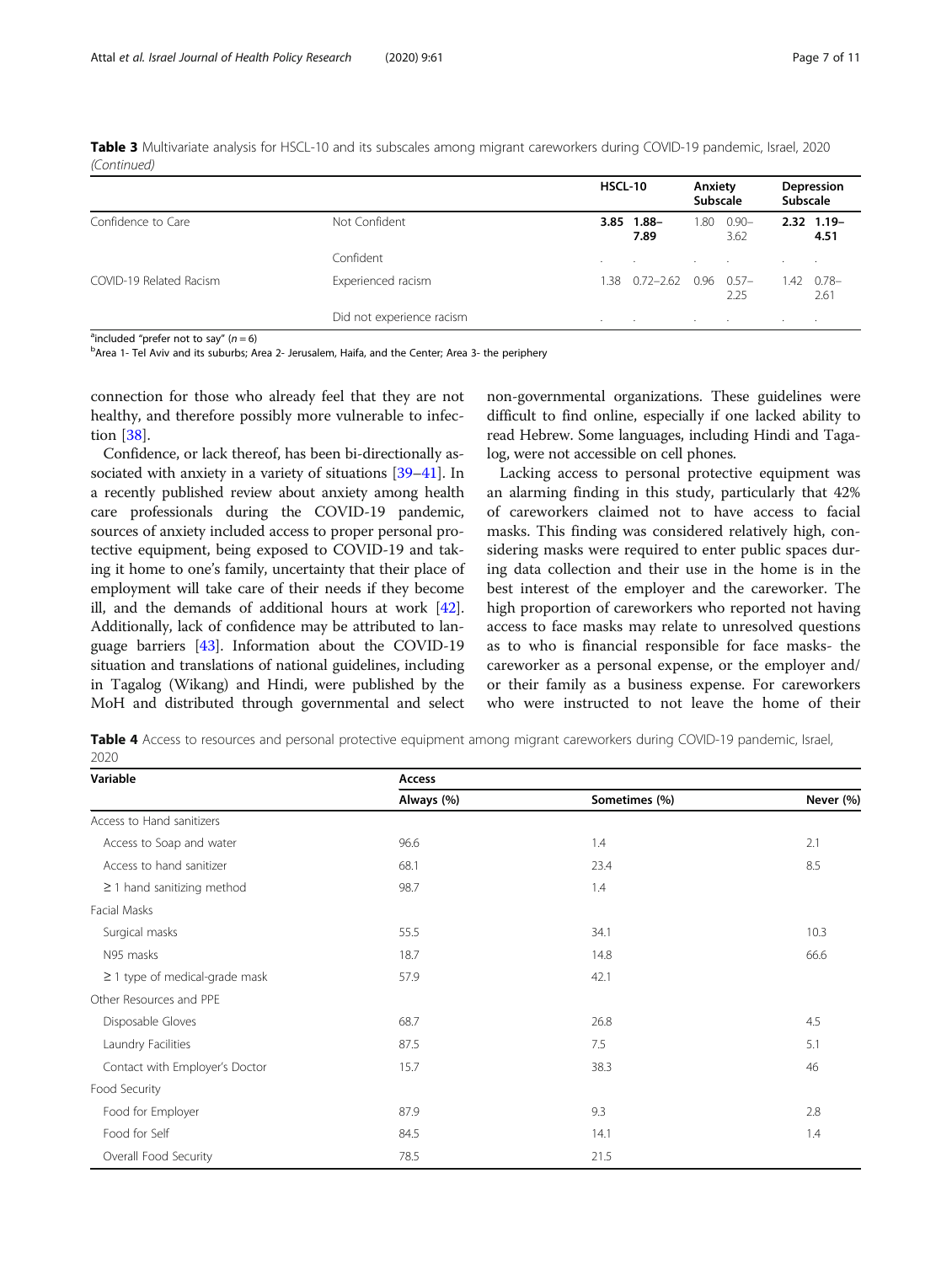<span id="page-6-0"></span>Table 3 Multivariate analysis for HSCL-10 and its subscales among migrant careworkers during COVID-19 pandemic, Israel, 2020 (Continued)

|                         |                           | HSCL-10                             |                         | Anxiety<br>Subscale            |                                | Subscale             | Depression           |
|-------------------------|---------------------------|-------------------------------------|-------------------------|--------------------------------|--------------------------------|----------------------|----------------------|
| Confidence to Care      | Not Confident             |                                     | $3.85$ $1.88 -$<br>7.89 | 1.80                           | $0.90 -$<br>3.62               |                      | $2.32$ 1.19-<br>4.51 |
|                         | Confident                 | $\cdot$                             |                         | $\cdot$<br><b>State Street</b> |                                | $\ddot{\phantom{0}}$ |                      |
| COVID-19 Related Racism | Experienced racism        | 1.38.                               | $0.72 - 2.62$           |                                | $0.96$ $0.57-$<br>2.25         | 1.42.                | $0.78 -$<br>2.61     |
| .                       | Did not experience racism | $\cdot$<br><b>Contract Contract</b> |                         | $\cdot$                        | <b>Contract Contract State</b> | $\cdot$<br>$\sim$    |                      |

<sup>a</sup>included "prefer not to say"  $(n = 6)$ <br> $\frac{b}{n}$ 

<sup>b</sup>Area 1- Tel Aviv and its suburbs; Area 2- Jerusalem, Haifa, and the Center; Area 3- the periphery

connection for those who already feel that they are not healthy, and therefore possibly more vulnerable to infection [\[38\]](#page-10-0).

Confidence, or lack thereof, has been bi-directionally associated with anxiety in a variety of situations [\[39](#page-10-0)–[41\]](#page-10-0). In a recently published review about anxiety among health care professionals during the COVID-19 pandemic, sources of anxiety included access to proper personal protective equipment, being exposed to COVID-19 and taking it home to one's family, uncertainty that their place of employment will take care of their needs if they become ill, and the demands of additional hours at work [[42](#page-10-0)]. Additionally, lack of confidence may be attributed to language barriers [\[43\]](#page-10-0). Information about the COVID-19 situation and translations of national guidelines, including in Tagalog (Wikang) and Hindi, were published by the MoH and distributed through governmental and select

non-governmental organizations. These guidelines were difficult to find online, especially if one lacked ability to read Hebrew. Some languages, including Hindi and Tagalog, were not accessible on cell phones.

Lacking access to personal protective equipment was an alarming finding in this study, particularly that 42% of careworkers claimed not to have access to facial masks. This finding was considered relatively high, considering masks were required to enter public spaces during data collection and their use in the home is in the best interest of the employer and the careworker. The high proportion of careworkers who reported not having access to face masks may relate to unresolved questions as to who is financial responsible for face masks- the careworker as a personal expense, or the employer and/ or their family as a business expense. For careworkers who were instructed to not leave the home of their

Table 4 Access to resources and personal protective equipment among migrant careworkers during COVID-19 pandemic, Israel, 2020

| Variable                            | Access     |               |           |  |  |  |
|-------------------------------------|------------|---------------|-----------|--|--|--|
|                                     | Always (%) | Sometimes (%) | Never (%) |  |  |  |
| Access to Hand sanitizers           |            |               |           |  |  |  |
| Access to Soap and water            | 96.6       | 1.4           | 2.1       |  |  |  |
| Access to hand sanitizer            | 68.1       | 23.4          | 8.5       |  |  |  |
| $\geq$ 1 hand sanitizing method     | 98.7       | 1.4           |           |  |  |  |
| <b>Facial Masks</b>                 |            |               |           |  |  |  |
| Surgical masks                      | 55.5       | 34.1          | 10.3      |  |  |  |
| N95 masks                           | 18.7       | 14.8          | 66.6      |  |  |  |
| $\geq$ 1 type of medical-grade mask | 57.9       | 42.1          |           |  |  |  |
| Other Resources and PPE             |            |               |           |  |  |  |
| Disposable Gloves                   | 68.7       | 26.8          | 4.5       |  |  |  |
| Laundry Facilities                  | 87.5       | 7.5           | 5.1       |  |  |  |
| Contact with Employer's Doctor      | 15.7       | 38.3          | 46        |  |  |  |
| Food Security                       |            |               |           |  |  |  |
| Food for Employer                   | 87.9       | 9.3           | 2.8       |  |  |  |
| Food for Self                       | 84.5       | 14.1          | 1.4       |  |  |  |
| Overall Food Security               | 78.5       | 21.5          |           |  |  |  |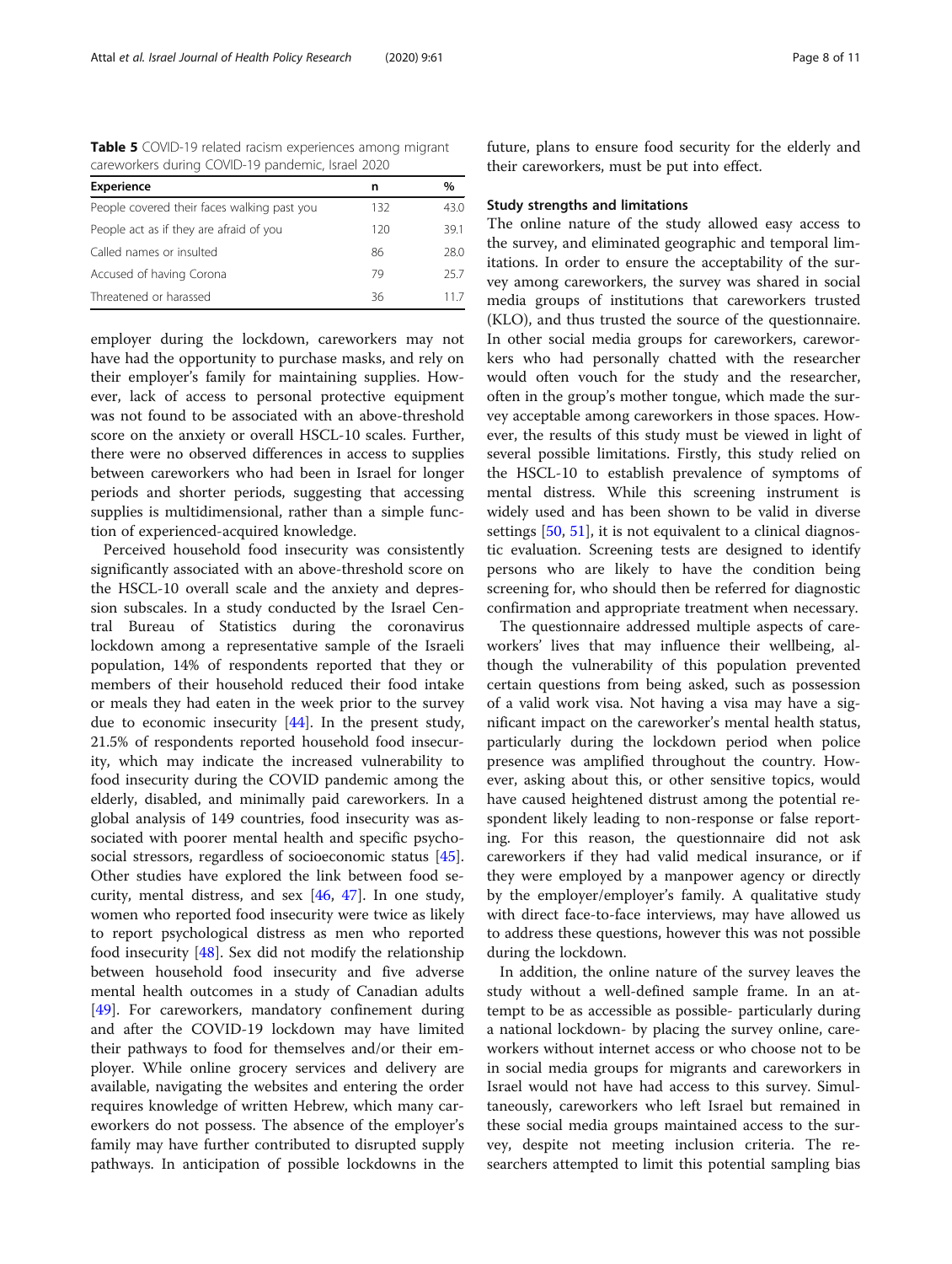<span id="page-7-0"></span>Table 5 COVID-19 related racism experiences among migrant careworkers during COVID-19 pandemic, Israel 2020

| <b>Experience</b>                           | n   | $\%$ |  |
|---------------------------------------------|-----|------|--|
| People covered their faces walking past you | 132 | 43.0 |  |
| People act as if they are afraid of you     | 120 | 39.1 |  |
| Called names or insulted                    | 86  | 28.0 |  |
| Accused of having Corona                    | 79  | 25.7 |  |
| Threatened or harassed                      | 36  |      |  |
|                                             |     |      |  |

employer during the lockdown, careworkers may not have had the opportunity to purchase masks, and rely on their employer's family for maintaining supplies. However, lack of access to personal protective equipment was not found to be associated with an above-threshold score on the anxiety or overall HSCL-10 scales. Further, there were no observed differences in access to supplies between careworkers who had been in Israel for longer periods and shorter periods, suggesting that accessing supplies is multidimensional, rather than a simple function of experienced-acquired knowledge.

Perceived household food insecurity was consistently significantly associated with an above-threshold score on the HSCL-10 overall scale and the anxiety and depression subscales. In a study conducted by the Israel Central Bureau of Statistics during the coronavirus lockdown among a representative sample of the Israeli population, 14% of respondents reported that they or members of their household reduced their food intake or meals they had eaten in the week prior to the survey due to economic insecurity [\[44\]](#page-10-0). In the present study, 21.5% of respondents reported household food insecurity, which may indicate the increased vulnerability to food insecurity during the COVID pandemic among the elderly, disabled, and minimally paid careworkers. In a global analysis of 149 countries, food insecurity was associated with poorer mental health and specific psychosocial stressors, regardless of socioeconomic status [\[45](#page-10-0)]. Other studies have explored the link between food security, mental distress, and sex [\[46](#page-10-0), [47\]](#page-10-0). In one study, women who reported food insecurity were twice as likely to report psychological distress as men who reported food insecurity [[48](#page-10-0)]. Sex did not modify the relationship between household food insecurity and five adverse mental health outcomes in a study of Canadian adults [[49\]](#page-10-0). For careworkers, mandatory confinement during and after the COVID-19 lockdown may have limited their pathways to food for themselves and/or their employer. While online grocery services and delivery are available, navigating the websites and entering the order requires knowledge of written Hebrew, which many careworkers do not possess. The absence of the employer's family may have further contributed to disrupted supply pathways. In anticipation of possible lockdowns in the future, plans to ensure food security for the elderly and their careworkers, must be put into effect.

#### Study strengths and limitations

The online nature of the study allowed easy access to the survey, and eliminated geographic and temporal limitations. In order to ensure the acceptability of the survey among careworkers, the survey was shared in social media groups of institutions that careworkers trusted (KLO), and thus trusted the source of the questionnaire. In other social media groups for careworkers, careworkers who had personally chatted with the researcher would often vouch for the study and the researcher, often in the group's mother tongue, which made the survey acceptable among careworkers in those spaces. However, the results of this study must be viewed in light of several possible limitations. Firstly, this study relied on the HSCL-10 to establish prevalence of symptoms of mental distress. While this screening instrument is widely used and has been shown to be valid in diverse settings [[50,](#page-10-0) [51](#page-10-0)], it is not equivalent to a clinical diagnostic evaluation. Screening tests are designed to identify persons who are likely to have the condition being screening for, who should then be referred for diagnostic confirmation and appropriate treatment when necessary.

The questionnaire addressed multiple aspects of careworkers' lives that may influence their wellbeing, although the vulnerability of this population prevented certain questions from being asked, such as possession of a valid work visa. Not having a visa may have a significant impact on the careworker's mental health status, particularly during the lockdown period when police presence was amplified throughout the country. However, asking about this, or other sensitive topics, would have caused heightened distrust among the potential respondent likely leading to non-response or false reporting. For this reason, the questionnaire did not ask careworkers if they had valid medical insurance, or if they were employed by a manpower agency or directly by the employer/employer's family. A qualitative study with direct face-to-face interviews, may have allowed us to address these questions, however this was not possible during the lockdown.

In addition, the online nature of the survey leaves the study without a well-defined sample frame. In an attempt to be as accessible as possible- particularly during a national lockdown- by placing the survey online, careworkers without internet access or who choose not to be in social media groups for migrants and careworkers in Israel would not have had access to this survey. Simultaneously, careworkers who left Israel but remained in these social media groups maintained access to the survey, despite not meeting inclusion criteria. The researchers attempted to limit this potential sampling bias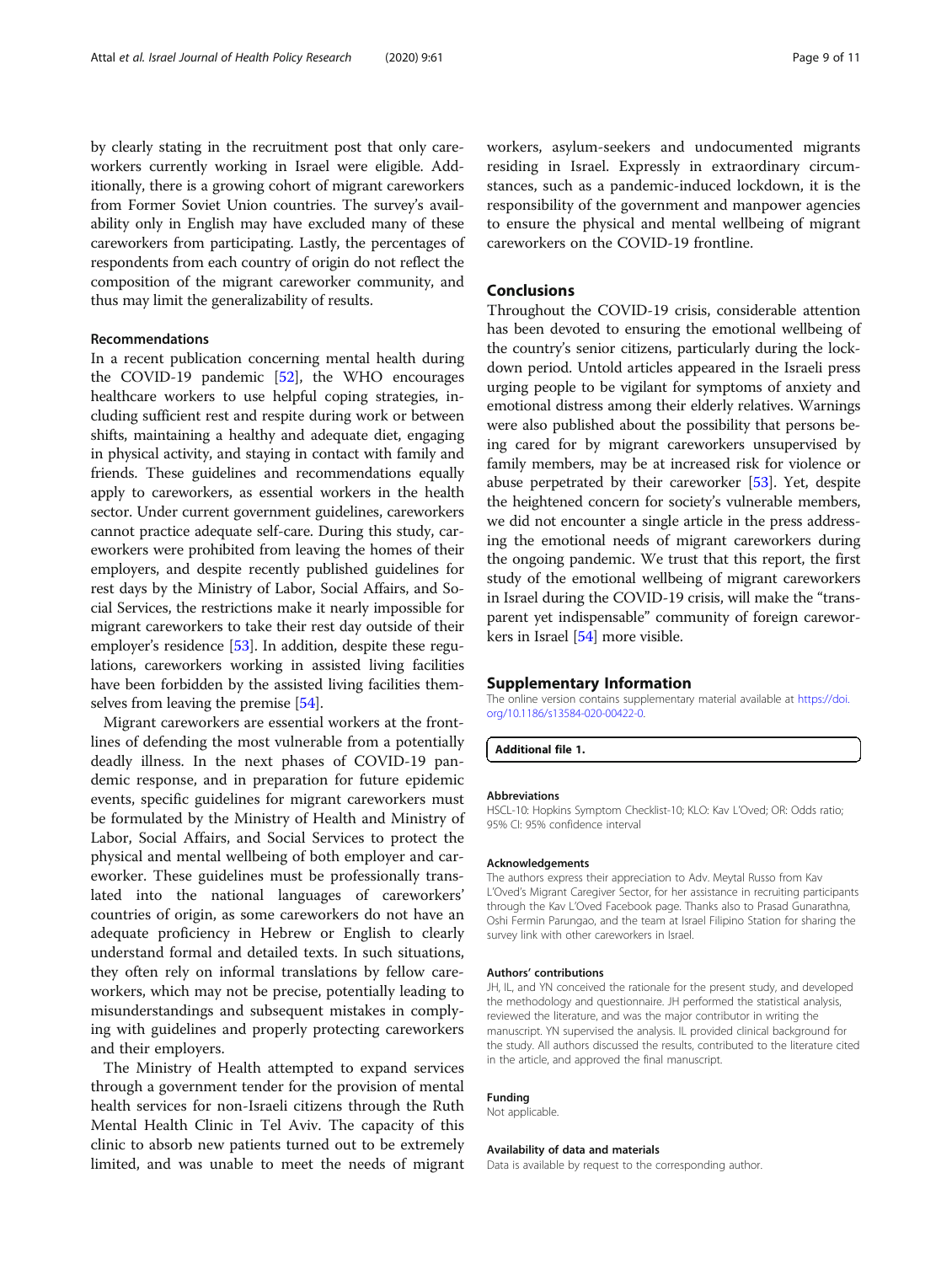by clearly stating in the recruitment post that only careworkers currently working in Israel were eligible. Additionally, there is a growing cohort of migrant careworkers from Former Soviet Union countries. The survey's availability only in English may have excluded many of these careworkers from participating. Lastly, the percentages of respondents from each country of origin do not reflect the composition of the migrant careworker community, and thus may limit the generalizability of results.

## Recommendations

In a recent publication concerning mental health during the COVID-19 pandemic  $[52]$  $[52]$  $[52]$ , the WHO encourages healthcare workers to use helpful coping strategies, including sufficient rest and respite during work or between shifts, maintaining a healthy and adequate diet, engaging in physical activity, and staying in contact with family and friends. These guidelines and recommendations equally apply to careworkers, as essential workers in the health sector. Under current government guidelines, careworkers cannot practice adequate self-care. During this study, careworkers were prohibited from leaving the homes of their employers, and despite recently published guidelines for rest days by the Ministry of Labor, Social Affairs, and Social Services, the restrictions make it nearly impossible for migrant careworkers to take their rest day outside of their employer's residence [\[53\]](#page-10-0). In addition, despite these regulations, careworkers working in assisted living facilities have been forbidden by the assisted living facilities themselves from leaving the premise [\[54](#page-10-0)].

Migrant careworkers are essential workers at the frontlines of defending the most vulnerable from a potentially deadly illness. In the next phases of COVID-19 pandemic response, and in preparation for future epidemic events, specific guidelines for migrant careworkers must be formulated by the Ministry of Health and Ministry of Labor, Social Affairs, and Social Services to protect the physical and mental wellbeing of both employer and careworker. These guidelines must be professionally translated into the national languages of careworkers' countries of origin, as some careworkers do not have an adequate proficiency in Hebrew or English to clearly understand formal and detailed texts. In such situations, they often rely on informal translations by fellow careworkers, which may not be precise, potentially leading to misunderstandings and subsequent mistakes in complying with guidelines and properly protecting careworkers and their employers.

The Ministry of Health attempted to expand services through a government tender for the provision of mental health services for non-Israeli citizens through the Ruth Mental Health Clinic in Tel Aviv. The capacity of this clinic to absorb new patients turned out to be extremely limited, and was unable to meet the needs of migrant workers, asylum-seekers and undocumented migrants residing in Israel. Expressly in extraordinary circumstances, such as a pandemic-induced lockdown, it is the responsibility of the government and manpower agencies to ensure the physical and mental wellbeing of migrant careworkers on the COVID-19 frontline.

# Conclusions

Throughout the COVID-19 crisis, considerable attention has been devoted to ensuring the emotional wellbeing of the country's senior citizens, particularly during the lockdown period. Untold articles appeared in the Israeli press urging people to be vigilant for symptoms of anxiety and emotional distress among their elderly relatives. Warnings were also published about the possibility that persons being cared for by migrant careworkers unsupervised by family members, may be at increased risk for violence or abuse perpetrated by their careworker [\[53\]](#page-10-0). Yet, despite the heightened concern for society's vulnerable members, we did not encounter a single article in the press addressing the emotional needs of migrant careworkers during the ongoing pandemic. We trust that this report, the first study of the emotional wellbeing of migrant careworkers in Israel during the COVID-19 crisis, will make the "transparent yet indispensable" community of foreign careworkers in Israel [\[54](#page-10-0)] more visible.

#### Supplementary Information

The online version contains supplementary material available at [https://doi.](https://doi.org/10.1186/s13584-020-00422-0) [org/10.1186/s13584-020-00422-0.](https://doi.org/10.1186/s13584-020-00422-0)

Additional file 1.

#### Abbreviations

HSCL-10: Hopkins Symptom Checklist-10; KLO: Kav L'Oved; OR: Odds ratio; 95% CI: 95% confidence interval

#### Acknowledgements

The authors express their appreciation to Adv. Meytal Russo from Kav L'Oved's Migrant Caregiver Sector, for her assistance in recruiting participants through the Kav L'Oved Facebook page. Thanks also to Prasad Gunarathna, Oshi Fermin Parungao, and the team at Israel Filipino Station for sharing the survey link with other careworkers in Israel.

#### Authors' contributions

JH, IL, and YN conceived the rationale for the present study, and developed the methodology and questionnaire. JH performed the statistical analysis, reviewed the literature, and was the major contributor in writing the manuscript. YN supervised the analysis. IL provided clinical background for the study. All authors discussed the results, contributed to the literature cited in the article, and approved the final manuscript.

## Funding

Not applicable.

#### Availability of data and materials

Data is available by request to the corresponding author.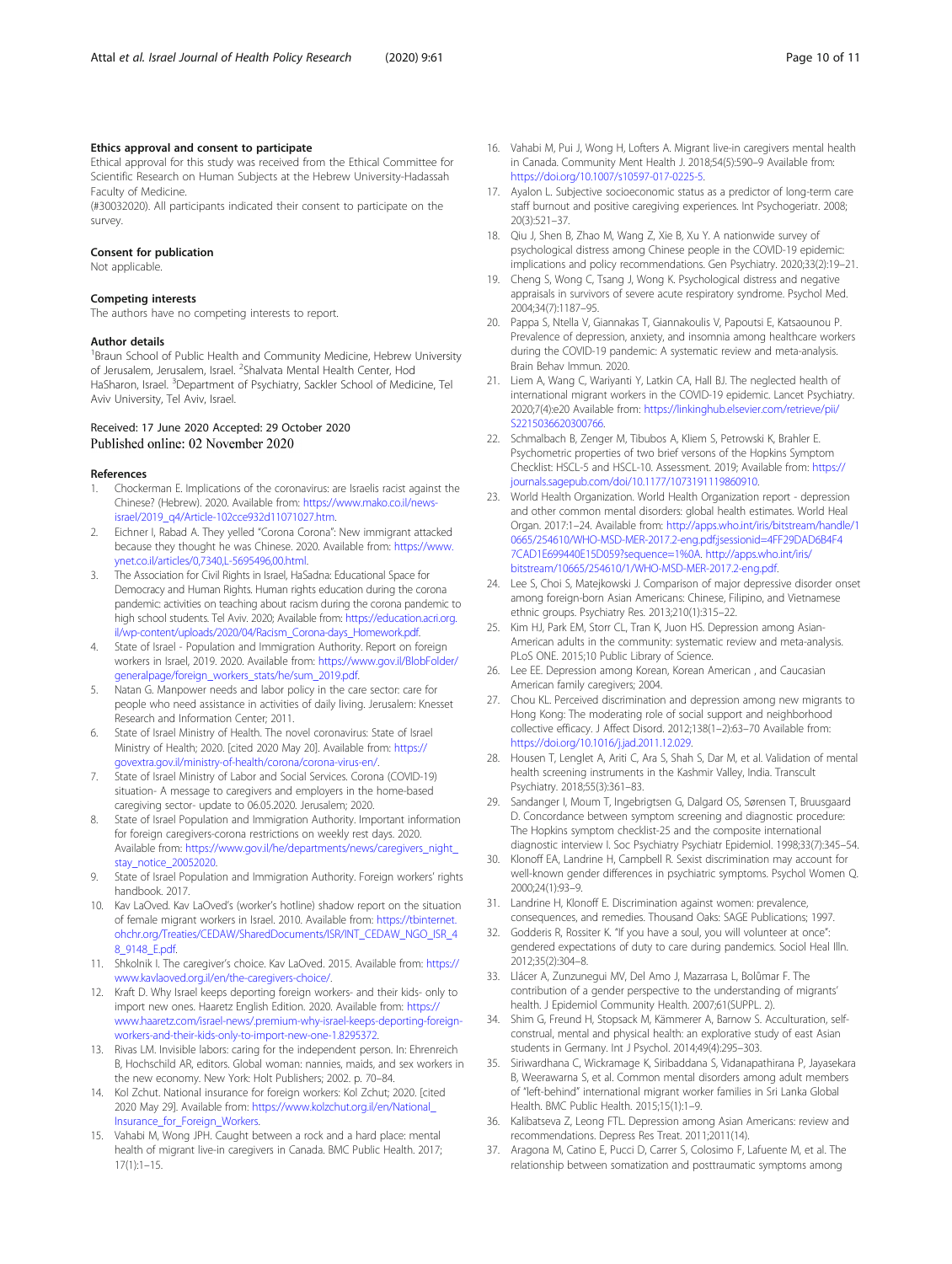#### <span id="page-9-0"></span>Ethics approval and consent to participate

Ethical approval for this study was received from the Ethical Committee for Scientific Research on Human Subjects at the Hebrew University-Hadassah Faculty of Medicine.

(#30032020). All participants indicated their consent to participate on the survey.

#### Consent for publication

Not applicable.

#### Competing interests

The authors have no competing interests to report.

#### Author details

<sup>1</sup> Braun School of Public Health and Community Medicine, Hebrew University of Jerusalem, Jerusalem, Israel. <sup>2</sup>Shalvata Mental Health Center, Hod HaSharon, Israel. <sup>3</sup>Department of Psychiatry, Sackler School of Medicine, Tel Aviv University, Tel Aviv, Israel.

#### Received: 17 June 2020 Accepted: 29 October 2020 Published online: 02 November 2020

#### References

- 1. Chockerman E. Implications of the coronavirus: are Israelis racist against the Chinese? (Hebrew). 2020. Available from: [https://www.mako.co.il/news](https://www.mako.co.il/news-israel/2019_q4/Article-102cce932d11071027.htm)[israel/2019\\_q4/Article-102cce932d11071027.htm](https://www.mako.co.il/news-israel/2019_q4/Article-102cce932d11071027.htm).
- 2. Eichner I, Rabad A. They yelled "Corona Corona": New immigrant attacked because they thought he was Chinese. 2020. Available from: [https://www.](https://www.ynet.co.il/articles/0,7340,L-5695496,00.html) [ynet.co.il/articles/0,7340,L-5695496,00.html.](https://www.ynet.co.il/articles/0,7340,L-5695496,00.html)
- 3. The Association for Civil Rights in Israel, HaSadna: Educational Space for Democracy and Human Rights. Human rights education during the corona pandemic: activities on teaching about racism during the corona pandemic to high school students. Tel Aviv. 2020; Available from: [https://education.acri.org.](https://education.acri.org.il/wp-content/uploads/2020/04/Racism_Corona-days_Homework.pdf) [il/wp-content/uploads/2020/04/Racism\\_Corona-days\\_Homework.pdf](https://education.acri.org.il/wp-content/uploads/2020/04/Racism_Corona-days_Homework.pdf).
- 4. State of Israel Population and Immigration Authority. Report on foreign workers in Israel, 2019. 2020. Available from: [https://www.gov.il/BlobFolder/](https://www.gov.il/BlobFolder/generalpage/foreign_workers_stats/he/sum_2019.pdf) [generalpage/foreign\\_workers\\_stats/he/sum\\_2019.pdf.](https://www.gov.il/BlobFolder/generalpage/foreign_workers_stats/he/sum_2019.pdf)
- 5. Natan G. Manpower needs and labor policy in the care sector: care for people who need assistance in activities of daily living. Jerusalem: Knesset Research and Information Center; 2011.
- State of Israel Ministry of Health. The novel coronavirus: State of Israel Ministry of Health; 2020. [cited 2020 May 20]. Available from: [https://](https://govextra.gov.il/ministry-of-health/corona/corona-virus-en/) [govextra.gov.il/ministry-of-health/corona/corona-virus-en/](https://govextra.gov.il/ministry-of-health/corona/corona-virus-en/).
- 7. State of Israel Ministry of Labor and Social Services. Corona (COVID-19) situation- A message to caregivers and employers in the home-based caregiving sector- update to 06.05.2020. Jerusalem; 2020.
- State of Israel Population and Immigration Authority. Important information for foreign caregivers-corona restrictions on weekly rest days. 2020. Available from: [https://www.gov.il/he/departments/news/caregivers\\_night\\_](https://www.gov.il/he/departments/news/caregivers_night_stay_notice_20052020) [stay\\_notice\\_20052020.](https://www.gov.il/he/departments/news/caregivers_night_stay_notice_20052020)
- 9. State of Israel Population and Immigration Authority. Foreign workers' rights handbook. 2017.
- 10. Kav LaOved. Kav LaOved's (worker's hotline) shadow report on the situation of female migrant workers in Israel. 2010. Available from: [https://tbinternet.](https://tbinternet.ohchr.org/Treaties/CEDAW/SharedDocuments/ISR/INT_CEDAW_NGO_ISR_48_9148_E.pdf) [ohchr.org/Treaties/CEDAW/SharedDocuments/ISR/INT\\_CEDAW\\_NGO\\_ISR\\_4](https://tbinternet.ohchr.org/Treaties/CEDAW/SharedDocuments/ISR/INT_CEDAW_NGO_ISR_48_9148_E.pdf) [8\\_9148\\_E.pdf.](https://tbinternet.ohchr.org/Treaties/CEDAW/SharedDocuments/ISR/INT_CEDAW_NGO_ISR_48_9148_E.pdf)
- 11. Shkolnik I. The caregiver's choice. Kav LaOved. 2015. Available from: [https://](https://www.kavlaoved.org.il/en/the-caregivers-choice/) [www.kavlaoved.org.il/en/the-caregivers-choice/.](https://www.kavlaoved.org.il/en/the-caregivers-choice/)
- 12. Kraft D. Why Israel keeps deporting foreign workers- and their kids- only to import new ones. Haaretz English Edition. 2020. Available from: [https://](https://www.haaretz.com/israel-news/.premium-why-israel-keeps-deporting-foreign-workers-and-their-kids-only-to-import-new-one-1.8295372) [www.haaretz.com/israel-news/.premium-why-israel-keeps-deporting-foreign](https://www.haaretz.com/israel-news/.premium-why-israel-keeps-deporting-foreign-workers-and-their-kids-only-to-import-new-one-1.8295372)[workers-and-their-kids-only-to-import-new-one-1.8295372](https://www.haaretz.com/israel-news/.premium-why-israel-keeps-deporting-foreign-workers-and-their-kids-only-to-import-new-one-1.8295372).
- 13. Rivas LM. Invisible labors: caring for the independent person. In: Ehrenreich B, Hochschild AR, editors. Global woman: nannies, maids, and sex workers in the new economy. New York: Holt Publishers; 2002. p. 70–84.
- 14. Kol Zchut. National insurance for foreign workers: Kol Zchut; 2020. [cited 2020 May 29]. Available from: [https://www.kolzchut.org.il/en/National\\_](https://www.kolzchut.org.il/en/National_Insurance_for_Foreign_Workers) [Insurance\\_for\\_Foreign\\_Workers.](https://www.kolzchut.org.il/en/National_Insurance_for_Foreign_Workers)
- 15. Vahabi M, Wong JPH. Caught between a rock and a hard place: mental health of migrant live-in caregivers in Canada. BMC Public Health. 2017; 17(1):1–15.
- 16. Vahabi M, Pui J, Wong H, Lofters A. Migrant live-in caregivers mental health in Canada. Community Ment Health J. 2018;54(5):590–9 Available from: <https://doi.org/10.1007/s10597-017-0225-5>.
- 17. Ayalon L. Subjective socioeconomic status as a predictor of long-term care staff burnout and positive caregiving experiences. Int Psychogeriatr. 2008; 20(3):521–37.
- 18. Qiu J, Shen B, Zhao M, Wang Z, Xie B, Xu Y. A nationwide survey of psychological distress among Chinese people in the COVID-19 epidemic: implications and policy recommendations. Gen Psychiatry. 2020;33(2):19–21.
- 19. Cheng S, Wong C, Tsang J, Wong K. Psychological distress and negative appraisals in survivors of severe acute respiratory syndrome. Psychol Med. 2004;34(7):1187–95.
- 20. Pappa S, Ntella V, Giannakas T, Giannakoulis V, Papoutsi E, Katsaounou P. Prevalence of depression, anxiety, and insomnia among healthcare workers during the COVID-19 pandemic: A systematic review and meta-analysis. Brain Behav Immun. 2020.
- 21. Liem A, Wang C, Wariyanti Y, Latkin CA, Hall BJ. The neglected health of international migrant workers in the COVID-19 epidemic. Lancet Psychiatry. 2020;7(4):e20 Available from: [https://linkinghub.elsevier.com/retrieve/pii/](https://linkinghub.elsevier.com/retrieve/pii/S2215036620300766) [S2215036620300766.](https://linkinghub.elsevier.com/retrieve/pii/S2215036620300766)
- 22. Schmalbach B, Zenger M, Tibubos A, Kliem S, Petrowski K, Brahler E. Psychometric properties of two brief versons of the Hopkins Symptom Checklist: HSCL-5 and HSCL-10. Assessment. 2019; Available from: [https://](https://journals.sagepub.com/doi/10.1177/1073191119860910) [journals.sagepub.com/doi/10.1177/1073191119860910](https://journals.sagepub.com/doi/10.1177/1073191119860910).
- 23. World Health Organization. World Health Organization report depression and other common mental disorders: global health estimates. World Heal Organ. 2017:1–24. Available from: [http://apps.who.int/iris/bitstream/handle/1](http://apps.who.int/iris/bitstream/handle/10665/254610/WHO-MSD-MER-2017.2-eng.pdf;jsessionid=4FF29DAD6B4F47CAD1E699440E15D059?sequence=1%0A) [0665/254610/WHO-MSD-MER-2017.2-eng.pdf;jsessionid=4FF29DAD6B4F4](http://apps.who.int/iris/bitstream/handle/10665/254610/WHO-MSD-MER-2017.2-eng.pdf;jsessionid=4FF29DAD6B4F47CAD1E699440E15D059?sequence=1%0A) [7CAD1E699440E15D059?sequence=1%0A](http://apps.who.int/iris/bitstream/handle/10665/254610/WHO-MSD-MER-2017.2-eng.pdf;jsessionid=4FF29DAD6B4F47CAD1E699440E15D059?sequence=1%0A). [http://apps.who.int/iris/](http://apps.who.int/iris/bitstream/10665/254610/1/WHO-MSD-MER-2017.2-eng.pdf) [bitstream/10665/254610/1/WHO-MSD-MER-2017.2-eng.pdf](http://apps.who.int/iris/bitstream/10665/254610/1/WHO-MSD-MER-2017.2-eng.pdf).
- 24. Lee S, Choi S, Matejkowski J. Comparison of major depressive disorder onset among foreign-born Asian Americans: Chinese, Filipino, and Vietnamese ethnic groups. Psychiatry Res. 2013;210(1):315–22.
- 25. Kim HJ, Park EM, Storr CL, Tran K, Juon HS. Depression among Asian-American adults in the community: systematic review and meta-analysis. PLoS ONE. 2015;10 Public Library of Science.
- 26. Lee EE. Depression among Korean, Korean American , and Caucasian American family caregivers; 2004.
- 27. Chou KL. Perceived discrimination and depression among new migrants to Hong Kong: The moderating role of social support and neighborhood collective efficacy. J Affect Disord. 2012;138(1–2):63–70 Available from: <https://doi.org/10.1016/j.jad.2011.12.029>.
- 28. Housen T, Lenglet A, Ariti C, Ara S, Shah S, Dar M, et al. Validation of mental health screening instruments in the Kashmir Valley, India. Transcult Psychiatry. 2018;55(3):361–83.
- 29. Sandanger I, Moum T, Ingebrigtsen G, Dalgard OS, Sørensen T, Bruusgaard D. Concordance between symptom screening and diagnostic procedure: The Hopkins symptom checklist-25 and the composite international diagnostic interview I. Soc Psychiatry Psychiatr Epidemiol. 1998;33(7):345–54.
- 30. Klonoff EA, Landrine H, Campbell R. Sexist discrimination may account for well-known gender differences in psychiatric symptoms. Psychol Women Q. 2000;24(1):93–9.
- 31. Landrine H, Klonoff E. Discrimination against women: prevalence, consequences, and remedies. Thousand Oaks: SAGE Publications; 1997.
- 32. Godderis R, Rossiter K. "If you have a soul, you will volunteer at once": gendered expectations of duty to care during pandemics. Sociol Heal Illn. 2012;35(2):304–8.
- 33. Llácer A, Zunzunegui MV, Del Amo J, Mazarrasa L, Bolůmar F. The contribution of a gender perspective to the understanding of migrants' health. J Epidemiol Community Health. 2007;61(SUPPL. 2).
- 34. Shim G, Freund H, Stopsack M, Kämmerer A, Barnow S. Acculturation, selfconstrual, mental and physical health: an explorative study of east Asian students in Germany. Int J Psychol. 2014;49(4):295–303.
- 35. Siriwardhana C, Wickramage K, Siribaddana S, Vidanapathirana P, Jayasekara B, Weerawarna S, et al. Common mental disorders among adult members of "left-behind" international migrant worker families in Sri Lanka Global Health. BMC Public Health. 2015;15(1):1–9.
- 36. Kalibatseva Z, Leong FTL. Depression among Asian Americans: review and recommendations. Depress Res Treat. 2011;2011(14).
- 37. Aragona M, Catino E, Pucci D, Carrer S, Colosimo F, Lafuente M, et al. The relationship between somatization and posttraumatic symptoms among